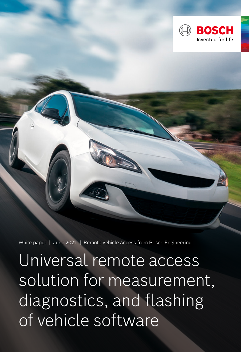

White paper | June 2021 | Remote Vehicle Access from Bosch Engineering

Universal remote access solution for measurement, diagnostics, and flashing of vehicle software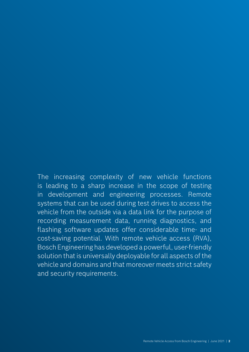The increasing complexity of new vehicle functions is leading to a sharp increase in the scope of testing in development and engineering processes. Remote systems that can be used during test drives to access the vehicle from the outside via a data link for the purpose of recording measurement data, running diagnostics, and flashing software updates offer considerable time- and cost-saving potential. With remote vehicle access (RVA), Bosch Engineering has developed a powerful, user-friendly solution that is universally deployable for all aspects of the vehicle and domains and that moreover meets strict safety and security requirements.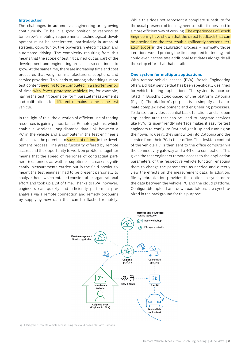# **Introduction**

The challenges in automotive engineering are growing continuously. To be in a good position to respond to tomorrow's mobility requirements, technological development must be accelerated, particularly in areas of strategic opportunity, like powertrain electrification and automated driving. The complexity resulting from this means that the scope of testing carried out as part of the development and engineering process also continues to grow. At the same time, there are increasing time and cost pressures that weigh on manufacturers, suppliers, and service providers. This leads to, among other things, more test content needing to be completed in a shorter period of time with fewer prototype vehicles by, for example, having the testing teams perform parallel measurements and calibrations for different domains in the same test vehicle.

In the light of this, the question of efficient use of testing resources is gaining importance. Remote systems, which enable a wireless, long-distance data link between a PC in the vehicle and a computer in the test engineer's office, have the potential to save a lot of time in the development process. The great flexibility offered by remote access and the opportunity to work on problems together means that the speed of response of contractual partners (customers as well as suppliers) increases significantly. Measurements carried out in the field previously meant the test engineer had to be present personally to analyze them, which entailed considerable organizational effort and took up a lot of time. Thanks to RVA, however, engineers can quickly and efficiently perform a preanalysis via a remote connection and remedy problems by supplying new data that can be flashed remotely.

While this does not represent a complete substitute for the usual presence of test engineers on site, it does lead to a more efficient way of working. The experiences of Bosch Engineering have shown that the direct feedback that can be provided on the test result significantly shortens iteration loops in the calibration process - normally, those iterations would prolong the time required for testing and could even necessitate additional test dates alongside all the setup effort that that entails.

#### **One system for multiple applications**

With remote vehicle access (RVA), Bosch Engineering offers a digital service that has been specifically designed for vehicle testing applications. The system is incorporated in Bosch's cloud-based online platform Calponia (Fig. 1). The platform's purpose is to simplify and automate complex development and engineering processes. To do so, it provides essential basic functions and an open application area that can be used to integrate services like RVA. Its user-friendly interface makes it easy for test engineers to configure RVA and get it up and running on their own. To use it, they simply log into Calponia and the service from their PC in their office. The desktop content of the vehicle PC is then sent to the office computer via the connectivity gateway and a 4G data connection. This gives the test engineers remote access to the application parameters of the respective vehicle function, enabling them to change the parameters as needed and directly view the effects on the measurement data. In addition, file synchronization provides the option to synchronize the data between the vehicle PC and the cloud platform. Configurable upload and download folders are synchronized in the background for this purpose.



Fig. 1: Diagram of remote vehicle access using the cloud-based platform Calponia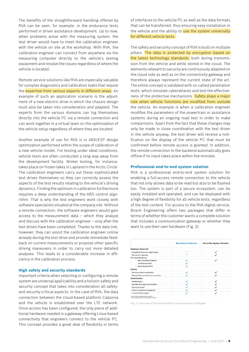The benefits of the straightforward handling offered by RVA can be seen, for example, in the endurance tests performed in driver assistance development. Up to now, when problems arose with the measuring system, the test driver would have to meet the calibration engineer with the vehicle on site at the workshop. With RVA, the calibration engineer can connect from anywhere via the measuring computer directly to the vehicle's testing equipment and resolve the issues regardless of where the vehicle is located.

Remote service solutions like RVA are especially valuable for complex diagnostics and calibration tasks that require the *expertise from various experts in different areas*. An example of such an application scenario is the adjustment of a new electric drive in which the chassis design must also be taken into consideration and adapted. The experts from the various domains can log themselves directly into the vehicle PC via a remote connection and can work together in a virtual team on the optimization of the vehicle setup regardless of where they are located.

Another example of use for RVA is in ABS/ESP design optimization performed within the scope of calibration of a new vehicle model. For testing under ideal conditions, vehicle tests are often conducted a long way away from the development facility. Winter testing, for instance, takes place on frozen lakes in Lapland in the Arctic Circle. The calibration engineers carry out these sophisticated test drives themselves so they can correctly assess the aspects of the test results relating to the vehicle's driving dynamics. Finding the optimum in calibration furthermore requires a deep understanding of the ABS control algorithm. That is why the test engineers work closely with software specialists situated at the company site. Without a remote connection, the software engineers would gain access to the measurement data – which they analyze and discuss with the calibration engineer – only after the test drives have been completed. Thanks to the data link, however, they can assist the calibration engineer online already during the test drive and provide immediate feedback on current measurements or propose other specific driving maneuvers in order to carry out more detailed analyses. This leads to a considerable increase in efficiency in the calibration process.

### **High safety and security standards**

Important criteria when selecting or configuring a remote system are universal applicability and a holistic safety and security concept that takes into consideration all safetyand security-critical aspects. In the case of RVA, the data connection between the cloud-based platform Calponia and the vehicle is established over the LTE network. Once access has been configured, the only piece of additional hardware needed is a gateway offering Linux-based connectivity that engineers connect to the vehicle PC. This concept provides a great deal of flexibility in terms

of interfaces to the vehicle PC as well as the data formats that can be transferred, thus ensuring easy installation in the vehicle and the ability to use the system universally for different vehicle tests.

The safety and security concept of RVA is built on multiple pillars. The data is protected by encryption based on the latest technology standards, both during transmission from the vehicle and while stored in the cloud. The elements relevant to security are continuously adapted on the cloud side as well as on the connectivity gateway and therefore always represent the current state of the art. The entire concept is validated with so-called penetration tests, which simulate cyberattacks and test the effectiveness of the protective mechanisms. Safety plays a major role when vehicle functions are modified from outside the vehicle. An example is when a calibration engineer modifies the parameters of the powertrain or assistance systems during an ongoing road test in order to make comparisons. Apart from the fact that these changes may only be made in close coordination with the test driver in the vehicle anyway, the test driver will receive a notification on the display of the vehicle PC that must be confirmed before remote access is granted. In addition, the remote connection to the backend automatically goes offline if no input takes place within five minutes.

## **Professional end-to-end system solution**

RVA is a professional end-to-end system solution for enabling a full-access remote connection to the vehicle that not only allows data to be read but also to be flashed too. The system is part of a secure ecosystem, can be easily installed and operated, and can be deployed with a high degree of flexibility for all vehicle tests, regardless of the test content. For access to the RVA digital service, Bosch Engineering offers two packages that differ in terms of whether the customer wants a complete solution that includes a communication gateway or whether they want to use their own hardware (Fig. 2).

|                                                          | <b>Base Service Solution</b> | All-In-One System Solution |
|----------------------------------------------------------|------------------------------|----------------------------|
| <b>Hardware: Device Kit</b>                              |                              |                            |
| Connectivity device incl. cable harness                  | ٠                            | $\checkmark$               |
| SIM-card incl. data plan                                 | $\bullet$                    | $\cdot$                    |
| Info: Supported devices                                  |                              |                            |
| - BEG Connectivity Gateway                               | ✓                            | $\checkmark$               |
| - CarMediaLab Flea4                                      | $\checkmark$                 |                            |
| - Bosch Rexroth RCU4                                     | ✓                            |                            |
| <b>Service</b>                                           |                              |                            |
| Self service device configuration                        | $\checkmark$                 | $\checkmark$               |
| Plug and play (easy installation based on documentation) | ✓                            | $\checkmark$               |
| <b>Cloud Service</b>                                     |                              |                            |
| Remote access                                            | $\checkmark$                 | $\checkmark$               |
| Automatic file & data synchronization                    | $\checkmark$                 | $\checkmark$               |
| Security encryption                                      | $\checkmark$                 | $\cdot$                    |
| Vehicle & equipment management                           | ✓                            |                            |
| 1st and 2nd level support                                | $\checkmark$                 | $\checkmark$               |

Fig. 2: Overview of the remote vehicle access product packages